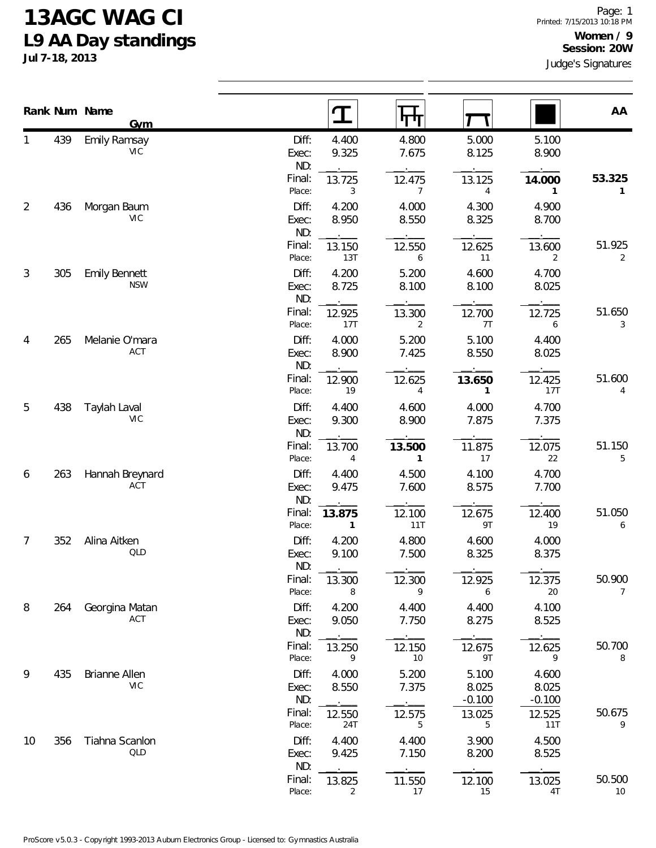## **13AGC WAG CI L9 AA Day standings**

**Jul 7-18, 2013**

|                |     | Rank Num Name<br><b>Gym</b>        |                       |                        |                          |                            |                            | AA           |
|----------------|-----|------------------------------------|-----------------------|------------------------|--------------------------|----------------------------|----------------------------|--------------|
| 1              | 439 | <b>Emily Ramsay</b><br>VIC         | Diff:<br>Exec:<br>ND: | 4.400<br>9.325         | 4.800<br>7.675           | 5.000<br>8.125             | 5.100<br>8.900             |              |
|                |     |                                    | Final:<br>Place:      | 13.725<br>3            | 12.475<br>$\overline{7}$ | 13.125<br>4                | 14.000<br>1                | 53.325<br>1  |
| $\overline{2}$ | 436 | Morgan Baum<br><b>VIC</b>          | Diff:<br>Exec:<br>ND: | 4.200<br>8.950         | 4.000<br>8.550           | 4.300<br>8.325             | 4.900<br>8.700             |              |
|                |     |                                    | Final:<br>Place:      | 13.150<br>13T          | 12.550<br>6              | 12.625<br>11               | 13.600<br>2                | 51.925<br>2  |
| 3              | 305 | <b>Emily Bennett</b><br><b>NSW</b> | Diff:<br>Exec:<br>ND: | 4.200<br>8.725         | 5.200<br>8.100           | 4.600<br>8.100             | 4.700<br>8.025             |              |
|                |     |                                    | Final:<br>Place:      | 12.925<br>17T          | 13.300<br>2              | 12.700<br>7T               | 12.725<br>6                | 51.650<br>3  |
| 4              | 265 | Melanie O'mara<br>ACT              | Diff:<br>Exec:<br>ND: | 4.000<br>8.900         | 5.200<br>7.425           | 5.100<br>8.550             | 4.400<br>8.025             |              |
|                |     |                                    | Final:<br>Place:      | 12.900<br>19           | 12.625<br>4              | 13.650<br>$\mathbf{1}$     | 12.425<br>17T              | 51.600<br>4  |
| 5              | 438 | Taylah Laval<br><b>VIC</b>         | Diff:<br>Exec:<br>ND: | 4.400<br>9.300         | 4.600<br>8.900           | 4.000<br>7.875             | 4.700<br>7.375             |              |
|                |     |                                    | Final:<br>Place:      | 13.700<br>4            | 13.500<br>$\mathbf{1}$   | 11.875<br>17               | 12.075<br>22               | 51.150<br>5  |
| 6              | 263 | Hannah Breynard<br><b>ACT</b>      | Diff:<br>Exec:<br>ND: | 4.400<br>9.475         | 4.500<br>7.600           | 4.100<br>8.575             | 4.700<br>7.700             |              |
|                |     |                                    | Final:<br>Place:      | 13.875<br>$\mathbf{1}$ | 12.100<br>11T            | 12.675<br>9T               | 12.400<br>19               | 51.050<br>6  |
| $\overline{7}$ | 352 | Alina Aitken<br>QLD                | Diff:<br>Exec:<br>ND: | 4.200<br>9.100         | 4.800<br>7.500           | 4.600<br>8.325             | 4.000<br>8.375             |              |
|                |     |                                    | Final:<br>Place:      | 13.300<br>8            | 12.300<br>9              | 12.925<br>6                | 12.375<br>20               | 50.900<br>7  |
| 8              | 264 | Georgina Matan<br>ACT              | Diff:<br>Exec:<br>ND: | 4.200<br>9.050         | 4.400<br>7.750           | 4.400<br>8.275             | 4.100<br>8.525             |              |
|                |     |                                    | Final:<br>Place:      | 13.250<br>9            | 12.150<br>10             | 12.675<br>9T               | 12.625<br>9                | 50.700<br>8  |
| 9              | 435 | Brianne Allen<br>VIC               | Diff:<br>Exec:<br>ND: | 4.000<br>8.550         | 5.200<br>7.375           | 5.100<br>8.025<br>$-0.100$ | 4.600<br>8.025<br>$-0.100$ |              |
|                |     |                                    | Final:<br>Place:      | 12.550<br>24T          | 12.575<br>5              | 13.025<br>5                | 12.525<br>11T              | 50.675<br>9  |
| 10             | 356 | Tiahna Scanlon<br>QLD              | Diff:<br>Exec:<br>ND: | 4.400<br>9.425         | 4.400<br>7.150           | 3.900<br>8.200             | 4.500<br>8.525             |              |
|                |     |                                    | Final:<br>Place:      | 13.825<br>2            | 11.550<br>17             | 12.100<br>15               | 13.025<br>4T               | 50.500<br>10 |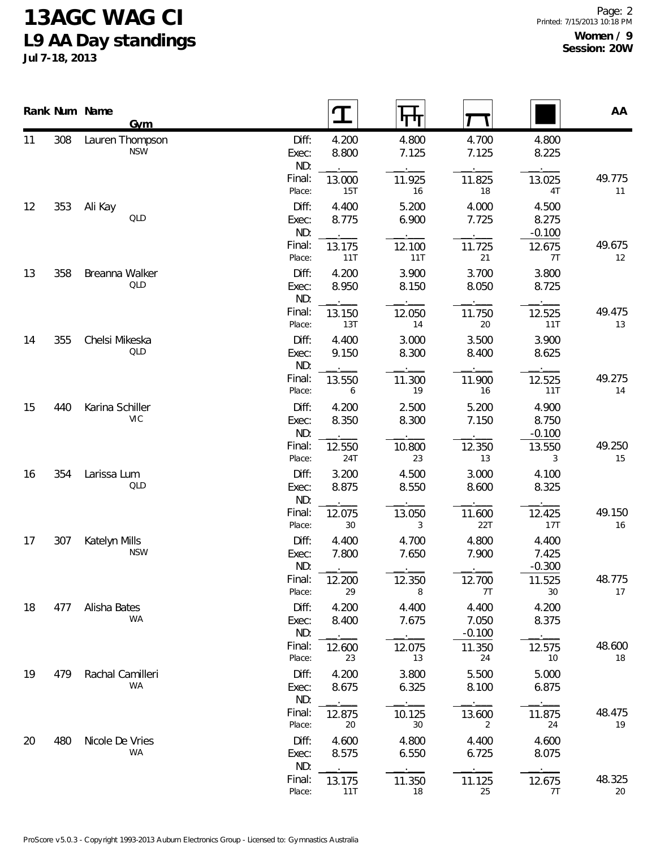## **13AGC WAG CI L9 AA Day standings**

**Jul 7-18, 2013**

|    |     | Rank Num Name    | Gym                           |                       | $\mathbf T$      | पाप            |                            |                            | AA           |
|----|-----|------------------|-------------------------------|-----------------------|------------------|----------------|----------------------------|----------------------------|--------------|
| 11 | 308 |                  | Lauren Thompson<br><b>NSW</b> | Diff:<br>Exec:<br>ND: | 4.200<br>8.800   | 4.800<br>7.125 | 4.700<br>7.125             | 4.800<br>8.225             |              |
|    |     |                  |                               | Final:<br>Place:      | 13.000<br>15T    | 11.925<br>16   | 11.825<br>18               | 13.025<br>$4\mathsf{T}$    | 49.775<br>11 |
| 12 | 353 | Ali Kay          | QLD                           | Diff:<br>Exec:<br>ND: | 4.400<br>8.775   | 5.200<br>6.900 | 4.000<br>7.725             | 4.500<br>8.275<br>$-0.100$ |              |
|    |     |                  |                               | Final:<br>Place:      | 13.175<br>11T    | 12.100<br>11T  | 11.725<br>21               | 12.675<br>7T               | 49.675<br>12 |
| 13 | 358 | Breanna Walker   | QLD                           | Diff:<br>Exec:<br>ND: | 4.200<br>8.950   | 3.900<br>8.150 | 3.700<br>8.050             | 3.800<br>8.725             |              |
|    |     |                  |                               | Final:<br>Place:      | 13.150<br>13T    | 12.050<br>14   | 11.750<br>20               | 12.525<br>11T              | 49.475<br>13 |
| 14 | 355 | Chelsi Mikeska   | QLD                           | Diff:<br>Exec:<br>ND: | 4.400<br>9.150   | 3.000<br>8.300 | 3.500<br>8.400             | 3.900<br>8.625             |              |
|    |     |                  |                               | Final:<br>Place:      | 13.550<br>6      | 11.300<br>19   | 11.900<br>16               | 12.525<br>11T              | 49.275<br>14 |
| 15 | 440 | Karina Schiller  | VIC                           | Diff:<br>Exec:<br>ND: | 4.200<br>8.350   | 2.500<br>8.300 | 5.200<br>7.150             | 4.900<br>8.750<br>$-0.100$ |              |
|    |     |                  |                               | Final:<br>Place:      | 12.550<br>24T    | 10.800<br>23   | 12.350<br>13               | 13.550<br>3                | 49.250<br>15 |
| 16 | 354 | Larissa Lum      | QLD                           | Diff:<br>Exec:<br>ND: | 3.200<br>8.875   | 4.500<br>8.550 | 3.000<br>8.600             | 4.100<br>8.325             |              |
|    |     |                  |                               | Final:<br>Place:      | 12.075<br>$30\,$ | 13.050<br>3    | 11.600<br>22T              | 12.425<br>17T              | 49.150<br>16 |
| 17 | 307 | Katelyn Mills    | <b>NSW</b>                    | Diff:<br>Exec:<br>ND: | 4.400<br>7.800   | 4.700<br>7.650 | 4.800<br>7.900             | 4.400<br>7.425<br>$-0.300$ |              |
|    |     |                  |                               | Final:<br>Place:      | 12.200<br>29     | 12.350<br>8    | 12.700<br>7T               | 11.525<br>30               | 48.775<br>17 |
| 18 | 477 | Alisha Bates     | <b>WA</b>                     | Diff:<br>Exec:<br>ND: | 4.200<br>8.400   | 4.400<br>7.675 | 4.400<br>7.050<br>$-0.100$ | 4.200<br>8.375             |              |
|    |     |                  |                               | Final:<br>Place:      | 12.600<br>23     | 12.075<br>13   | 11.350<br>24               | 12.575<br>10               | 48.600<br>18 |
| 19 | 479 | Rachal Camilleri | <b>WA</b>                     | Diff:<br>Exec:<br>ND: | 4.200<br>8.675   | 3.800<br>6.325 | 5.500<br>8.100             | 5.000<br>6.875             |              |
|    |     |                  |                               | Final:<br>Place:      | 12.875<br>20     | 10.125<br>30   | 13.600<br>2                | 11.875<br>24               | 48.475<br>19 |
| 20 | 480 | Nicole De Vries  | WA                            | Diff:<br>Exec:<br>ND: | 4.600<br>8.575   | 4.800<br>6.550 | 4.400<br>6.725             | 4.600<br>8.075             |              |
|    |     |                  |                               | Final:<br>Place:      | 13.175<br>11T    | 11.350<br>18   | 11.125<br>25               | 12.675<br>7T               | 48.325<br>20 |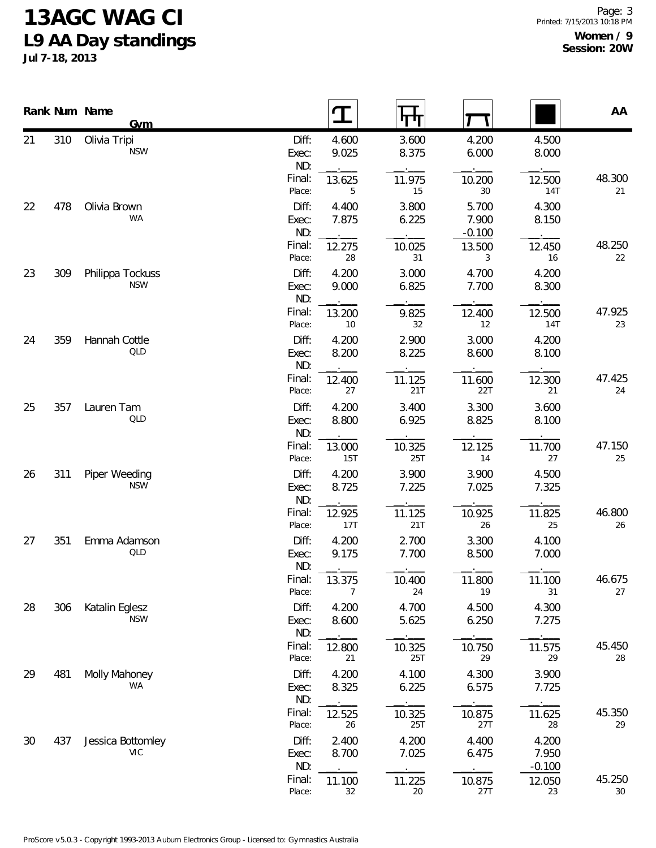## **13AGC WAG CI L9 AA Day standings**

**Jul 7-18, 2013**

|    | Rank Num Name | <b>Gym</b>                      |                       | T              | पा             |                            |                            | AA           |
|----|---------------|---------------------------------|-----------------------|----------------|----------------|----------------------------|----------------------------|--------------|
| 21 | 310           | Olivia Tripi<br><b>NSW</b>      | Diff:<br>Exec:<br>ND: | 4.600<br>9.025 | 3.600<br>8.375 | 4.200<br>6.000             | 4.500<br>8.000             |              |
|    |               |                                 | Final:<br>Place:      | 13.625<br>5    | 11.975<br>15   | 10.200<br>30               | 12.500<br>14T              | 48.300<br>21 |
| 22 | 478           | Olivia Brown<br>WA              | Diff:<br>Exec:<br>ND: | 4.400<br>7.875 | 3.800<br>6.225 | 5.700<br>7.900<br>$-0.100$ | 4.300<br>8.150             |              |
|    |               |                                 | Final:<br>Place:      | 12.275<br>28   | 10.025<br>31   | 13.500<br>3                | 12.450<br>16               | 48.250<br>22 |
| 23 | 309           | Philippa Tockuss<br><b>NSW</b>  | Diff:<br>Exec:<br>ND: | 4.200<br>9.000 | 3.000<br>6.825 | 4.700<br>7.700             | 4.200<br>8.300             |              |
|    |               |                                 | Final:<br>Place:      | 13.200<br>10   | 9.825<br>32    | 12.400<br>12               | 12.500<br>14T              | 47.925<br>23 |
| 24 | 359           | Hannah Cottle<br>QLD            | Diff:<br>Exec:<br>ND: | 4.200<br>8.200 | 2.900<br>8.225 | 3.000<br>8.600             | 4.200<br>8.100             |              |
|    |               |                                 | Final:<br>Place:      | 12.400<br>27   | 11.125<br>21T  | 11.600<br>22T              | 12.300<br>21               | 47.425<br>24 |
| 25 | 357           | Lauren Tam<br><b>QLD</b>        | Diff:<br>Exec:<br>ND: | 4.200<br>8.800 | 3.400<br>6.925 | 3.300<br>8.825             | 3.600<br>8.100             |              |
|    |               |                                 | Final:<br>Place:      | 13.000<br>15T  | 10.325<br>25T  | 12.125<br>14               | 11.700<br>27               | 47.150<br>25 |
| 26 | 311           | Piper Weeding<br><b>NSW</b>     | Diff:<br>Exec:<br>ND: | 4.200<br>8.725 | 3.900<br>7.225 | 3.900<br>7.025             | 4.500<br>7.325             |              |
|    |               |                                 | Final:<br>Place:      | 12.925<br>17T  | 11.125<br>21T  | 10.925<br>26               | 11.825<br>25               | 46.800<br>26 |
| 27 | 351           | Emma Adamson<br><b>QLD</b>      | Diff:<br>Exec:<br>ND: | 4.200<br>9.175 | 2.700<br>7.700 | 3.300<br>8.500             | 4.100<br>7.000             |              |
|    |               |                                 | Final:<br>Place:      | 13.375<br>7    | 10.400<br>24   | 11.800<br>19               | 11.100<br>31               | 46.675<br>27 |
| 28 | 306           | Katalin Eglesz<br><b>NSW</b>    | Diff:<br>Exec:<br>ND: | 4.200<br>8.600 | 4.700<br>5.625 | 4.500<br>6.250             | 4.300<br>7.275             |              |
|    |               |                                 | Final:<br>Place:      | 12.800<br>21   | 10.325<br>25T  | 10.750<br>29               | 11.575<br>29               | 45.450<br>28 |
| 29 | 481           | Molly Mahoney<br>WA             | Diff:<br>Exec:<br>ND: | 4.200<br>8.325 | 4.100<br>6.225 | 4.300<br>6.575             | 3.900<br>7.725             |              |
|    |               |                                 | Final:<br>Place:      | 12.525<br>26   | 10.325<br>25T  | 10.875<br>27T              | 11.625<br>28               | 45.350<br>29 |
| 30 | 437           | Jessica Bottomley<br><b>VIC</b> | Diff:<br>Exec:<br>ND: | 2.400<br>8.700 | 4.200<br>7.025 | 4.400<br>6.475             | 4.200<br>7.950<br>$-0.100$ |              |
|    |               |                                 | Final:<br>Place:      | 11.100<br>32   | 11.225<br>20   | 10.875<br>27T              | 12.050<br>23               | 45.250<br>30 |